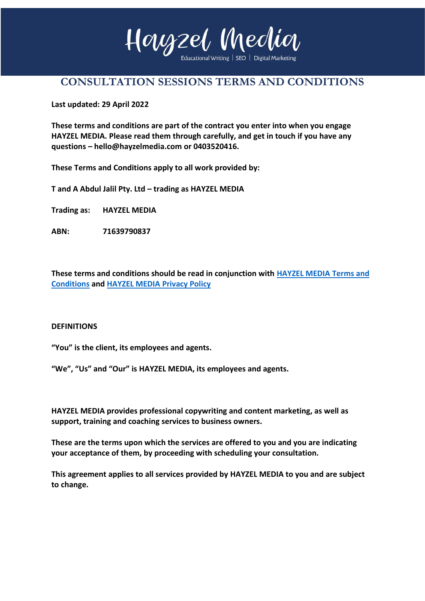

# **CONSULTATION SESSIONS TERMS AND CONDITIONS**

**Last updated: 29 April 2022**

**These terms and conditions are part of the contract you enter into when you engage HAYZEL MEDIA. Please read them through carefully, and get in touch if you have any questions – hello@hayzelmedia.com or 0403520416.**

**These Terms and Conditions apply to all work provided by:** 

**T and A Abdul Jalil Pty. Ltd – trading as HAYZEL MEDIA**

**Trading as: HAYZEL MEDIA**

**ABN: 71639790837**

**These terms and conditions should be read in conjunction with [HAYZEL MEDIA](https://www.yourbusinesswife.com/wp-content/uploads/2019/02/YBW-Terms-and-Conditions.pdf) Terms and [Conditions](https://www.yourbusinesswife.com/wp-content/uploads/2019/02/YBW-Terms-and-Conditions.pdf) and [HAYZEL MEDIA](https://www.melbourneeducationwriter.com/privacy-policy/) Privacy Policy**

### **DEFINITIONS**

**"You" is the client, its employees and agents.**

**"We", "Us" and "Our" is HAYZEL MEDIA, its employees and agents.**

**HAYZEL MEDIA provides professional copywriting and content marketing, as well as support, training and coaching services to business owners.** 

**These are the terms upon which the services are offered to you and you are indicating your acceptance of them, by proceeding with scheduling your consultation.** 

**This agreement applies to all services provided by HAYZEL MEDIA to you and are subject to change.**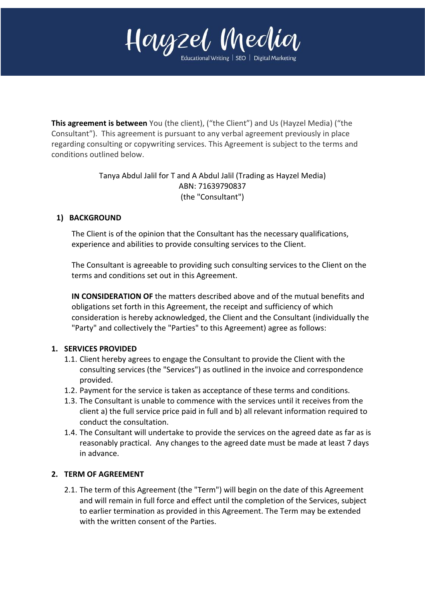

**This agreement is between** You (the client), ("the Client") and Us (Hayzel Media) ("the Consultant"). This agreement is pursuant to any verbal agreement previously in place regarding consulting or copywriting services. This Agreement is subject to the terms and conditions outlined below.

> Tanya Abdul Jalil for T and A Abdul Jalil (Trading as Hayzel Media) ABN: 71639790837 (the "Consultant")

# **1) BACKGROUND**

The Client is of the opinion that the Consultant has the necessary qualifications, experience and abilities to provide consulting services to the Client.

The Consultant is agreeable to providing such consulting services to the Client on the terms and conditions set out in this Agreement.

**IN CONSIDERATION OF** the matters described above and of the mutual benefits and obligations set forth in this Agreement, the receipt and sufficiency of which consideration is hereby acknowledged, the Client and the Consultant (individually the "Party" and collectively the "Parties" to this Agreement) agree as follows:

### **1. SERVICES PROVIDED**

- 1.1. Client hereby agrees to engage the Consultant to provide the Client with the consulting services (the "Services") as outlined in the invoice and correspondence provided.
- 1.2. Payment for the service is taken as acceptance of these terms and conditions.
- 1.3. The Consultant is unable to commence with the services until it receives from the client a) the full service price paid in full and b) all relevant information required to conduct the consultation.
- 1.4. The Consultant will undertake to provide the services on the agreed date as far as is reasonably practical. Any changes to the agreed date must be made at least 7 days in advance.

# **2. TERM OF AGREEMENT**

2.1. The term of this Agreement (the "Term") will begin on the date of this Agreement and will remain in full force and effect until the completion of the Services, subject to earlier termination as provided in this Agreement. The Term may be extended with the written consent of the Parties.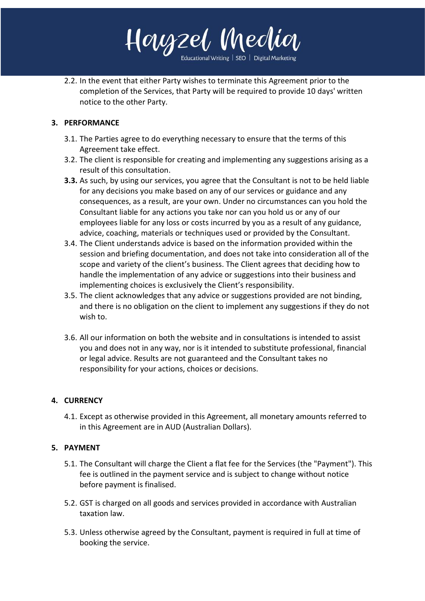

2.2. In the event that either Party wishes to terminate this Agreement prior to the completion of the Services, that Party will be required to provide 10 days' written notice to the other Party.

# **3. PERFORMANCE**

- 3.1. The Parties agree to do everything necessary to ensure that the terms of this Agreement take effect.
- 3.2. The client is responsible for creating and implementing any suggestions arising as a result of this consultation.
- **3.3.** As such, by using our services, you agree that the Consultant is not to be held liable for any decisions you make based on any of our services or guidance and any consequences, as a result, are your own. Under no circumstances can you hold the Consultant liable for any actions you take nor can you hold us or any of our employees liable for any loss or costs incurred by you as a result of any guidance, advice, coaching, materials or techniques used or provided by the Consultant.
- 3.4. The Client understands advice is based on the information provided within the session and briefing documentation, and does not take into consideration all of the scope and variety of the client's business. The Client agrees that deciding how to handle the implementation of any advice or suggestions into their business and implementing choices is exclusively the Client's responsibility.
- 3.5. The client acknowledges that any advice or suggestions provided are not binding, and there is no obligation on the client to implement any suggestions if they do not wish to.
- 3.6. All our information on both the website and in consultations is intended to assist you and does not in any way, nor is it intended to substitute professional, financial or legal advice. Results are not guaranteed and the Consultant takes no responsibility for your actions, choices or decisions.

# **4. CURRENCY**

4.1. Except as otherwise provided in this Agreement, all monetary amounts referred to in this Agreement are in AUD (Australian Dollars).

# **5. PAYMENT**

- 5.1. The Consultant will charge the Client a flat fee for the Services (the "Payment"). This fee is outlined in the payment service and is subject to change without notice before payment is finalised.
- 5.2. GST is charged on all goods and services provided in accordance with Australian taxation law.
- 5.3. Unless otherwise agreed by the Consultant, payment is required in full at time of booking the service.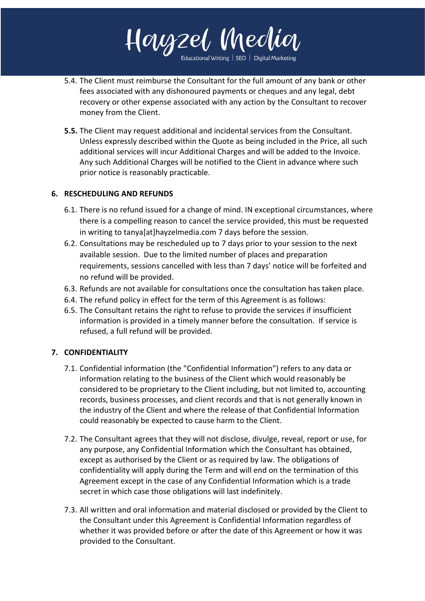

5.4. The Client must reimburse the Consultant for the full amount of any bank or other fees associated with any dishonoured payments or cheques and any legal, debt recovery or other expense associated with any action by the Consultant to recover money from the Client.

**5.5.** The Client may request additional and incidental services from the Consultant. Unless expressly described within the Quote as being included in the Price, all such additional services will incur Additional Charges and will be added to the Invoice. Any such Additional Charges will be notified to the Client in advance where such prior notice is reasonably practicable.

# **6. RESCHEDULING AND REFUNDS**

- 6.1. There is no refund issued for a change of mind. IN exceptional circumstances, where there is a compelling reason to cancel the service provided, this must be requested in writing to tanya[at]hayzelmedia.com 7 days before the session.
- 6.2. Consultations may be rescheduled up to 7 days prior to your session to the next available session. Due to the limited number of places and preparation requirements, sessions cancelled with less than 7 days' notice will be forfeited and no refund will be provided.
- 6.3. Refunds are not available for consultations once the consultation has taken place.
- 6.4. The refund policy in effect for the term of this Agreement is as follows:
- 6.5. The Consultant retains the right to refuse to provide the services if insufficient information is provided in a timely manner before the consultation. If service is refused, a full refund will be provided.

# **7. CONFIDENTIALITY**

- 7.1. Confidential information (the "Confidential Information") refers to any data or information relating to the business of the Client which would reasonably be considered to be proprietary to the Client including, but not limited to, accounting records, business processes, and client records and that is not generally known in the industry of the Client and where the release of that Confidential Information could reasonably be expected to cause harm to the Client.
- 7.2. The Consultant agrees that they will not disclose, divulge, reveal, report or use, for any purpose, any Confidential Information which the Consultant has obtained, except as authorised by the Client or as required by law. The obligations of confidentiality will apply during the Term and will end on the termination of this Agreement except in the case of any Confidential Information which is a trade secret in which case those obligations will last indefinitely.
- 7.3. All written and oral information and material disclosed or provided by the Client to the Consultant under this Agreement is Confidential Information regardless of whether it was provided before or after the date of this Agreement or how it was provided to the Consultant.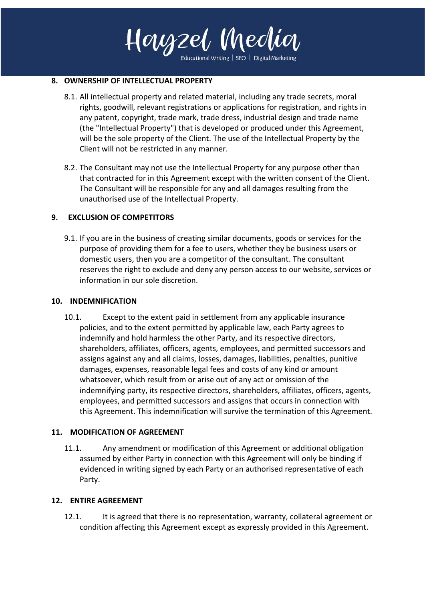

Educational Writing | SEO | Digital Marketing

#### **8. OWNERSHIP OF INTELLECTUAL PROPERTY**

- 8.1. All intellectual property and related material, including any trade secrets, moral rights, goodwill, relevant registrations or applications for registration, and rights in any patent, copyright, trade mark, trade dress, industrial design and trade name (the "Intellectual Property") that is developed or produced under this Agreement, will be the sole property of the Client. The use of the Intellectual Property by the Client will not be restricted in any manner.
- 8.2. The Consultant may not use the Intellectual Property for any purpose other than that contracted for in this Agreement except with the written consent of the Client. The Consultant will be responsible for any and all damages resulting from the unauthorised use of the Intellectual Property.

### **9. EXCLUSION OF COMPETITORS**

9.1. If you are in the business of creating similar documents, goods or services for the purpose of providing them for a fee to users, whether they be business users or domestic users, then you are a competitor of the consultant. The consultant reserves the right to exclude and deny any person access to our website, services or information in our sole discretion.

### **10. INDEMNIFICATION**

10.1. Except to the extent paid in settlement from any applicable insurance policies, and to the extent permitted by applicable law, each Party agrees to indemnify and hold harmless the other Party, and its respective directors, shareholders, affiliates, officers, agents, employees, and permitted successors and assigns against any and all claims, losses, damages, liabilities, penalties, punitive damages, expenses, reasonable legal fees and costs of any kind or amount whatsoever, which result from or arise out of any act or omission of the indemnifying party, its respective directors, shareholders, affiliates, officers, agents, employees, and permitted successors and assigns that occurs in connection with this Agreement. This indemnification will survive the termination of this Agreement.

### **11. MODIFICATION OF AGREEMENT**

11.1. Any amendment or modification of this Agreement or additional obligation assumed by either Party in connection with this Agreement will only be binding if evidenced in writing signed by each Party or an authorised representative of each Party.

#### **12. ENTIRE AGREEMENT**

12.1. It is agreed that there is no representation, warranty, collateral agreement or condition affecting this Agreement except as expressly provided in this Agreement.